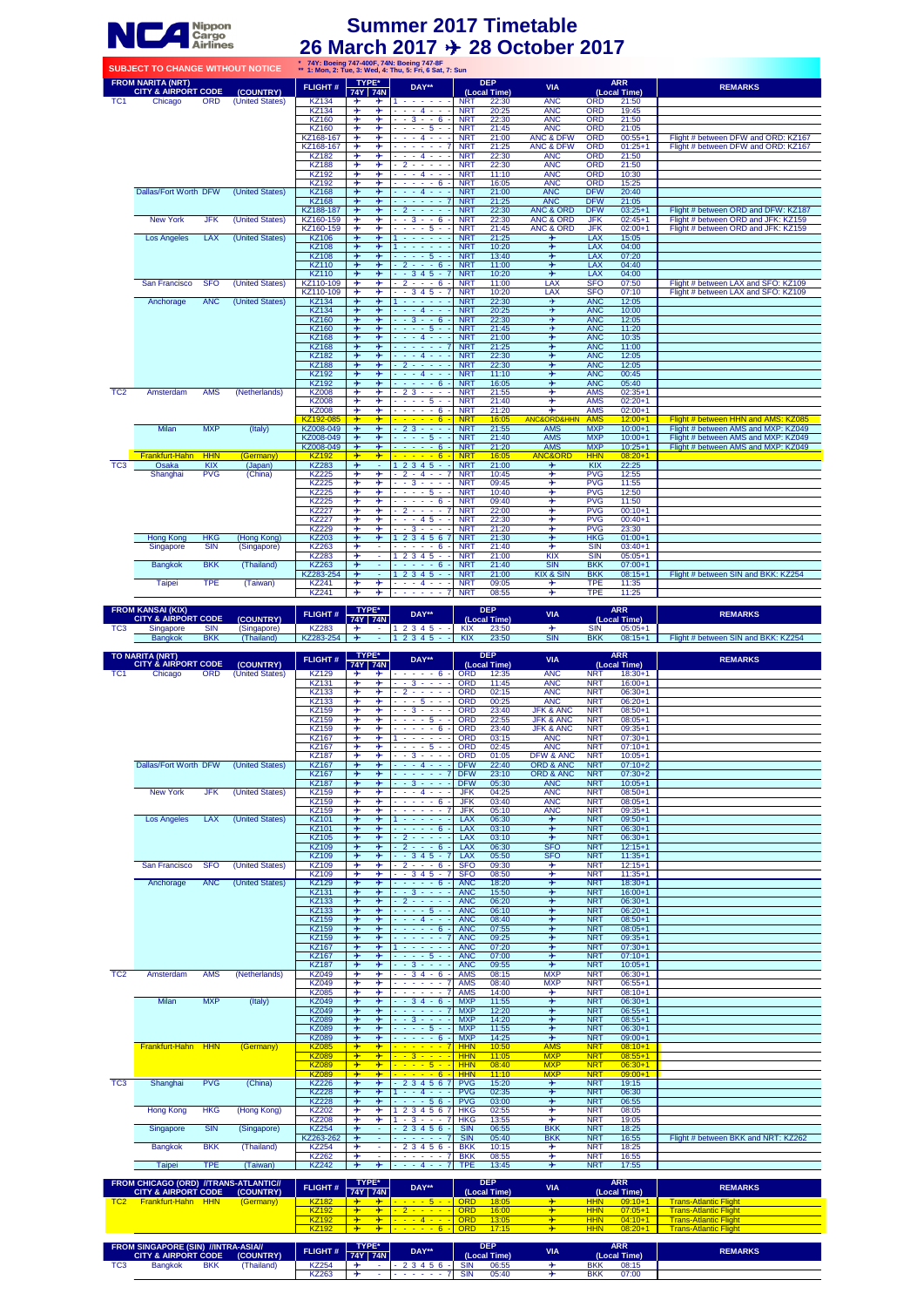| <b>SUBJECT TO CHANGE WITHOUT NOTICE</b> |                                                            |            |                 |                |                         |                         | 74Y: Boeing 747-400F, 74N: Boeing 747-8F<br>** 1: Mon, 2: Tue, 3: Wed, 4: Thu, 5: Fri, 6 Sat, 7: Sun |            |                            |                            |            |                            |                                     |
|-----------------------------------------|------------------------------------------------------------|------------|-----------------|----------------|-------------------------|-------------------------|------------------------------------------------------------------------------------------------------|------------|----------------------------|----------------------------|------------|----------------------------|-------------------------------------|
|                                         | <b>FROM NARITA (NRT)</b><br><b>CITY &amp; AIRPORT CODE</b> |            | (COUNTRY)       | <b>FLIGHT#</b> |                         | TYPE*<br>74Y   74N      | DAY**                                                                                                |            | <b>DEP</b><br>(Local Time) | <b>VIA</b>                 |            | <b>ARR</b><br>(Local Time) | <b>REMARKS</b>                      |
| TC <sub>1</sub>                         | Chicago                                                    | <b>ORD</b> | (United States) | <b>KZ134</b>   | ⊁                       | ⊁                       | 1.                                                                                                   | <b>NRT</b> | 22:30                      | <b>ANC</b>                 | <b>ORD</b> | 21:50                      |                                     |
|                                         |                                                            |            |                 | <b>KZ134</b>   | ⊁                       | ⊁                       | $- - - 4 - - -$                                                                                      | <b>NRT</b> | 20:25                      | <b>ANC</b>                 | <b>ORD</b> | 19:45                      |                                     |
|                                         |                                                            |            |                 | <b>KZ160</b>   | ⊁                       | ⊁                       | $-3 - 6$                                                                                             | <b>NRT</b> | 22:30                      | <b>ANC</b>                 | <b>ORD</b> | 21:50                      |                                     |
|                                         |                                                            |            |                 | <b>KZ160</b>   | ⊁                       | ⊁                       | $- - - - 5 - -$                                                                                      | <b>NRT</b> | 21:45                      | <b>ANC</b>                 | <b>ORD</b> | 21:05                      |                                     |
|                                         |                                                            |            |                 | KZ168-167      | ⊁                       | ⊁                       | - - - 4 - - -                                                                                        | <b>NRT</b> | 21:00                      | <b>ANC &amp; DFW</b>       | <b>ORD</b> | $00:55+1$                  | Flight # between DFW and ORD: KZ167 |
|                                         |                                                            |            |                 | KZ168-167      | $\ast$                  | ⊁                       | $- - - - - - 7$                                                                                      | <b>NRT</b> | 21:25                      | <b>ANC &amp; DFW</b>       | <b>ORD</b> | $01:25+1$                  | Flight # between DFW and ORD: KZ167 |
|                                         |                                                            |            |                 | <b>KZ182</b>   | ⊁                       | ⊁                       | $- - - 4 - - -$                                                                                      | <b>NRT</b> | 22:30                      | <b>ANC</b>                 | <b>ORD</b> | 21:50                      |                                     |
|                                         |                                                            |            |                 | <b>KZ188</b>   | ⊁                       | ⊁                       | $2 - - - -$                                                                                          | <b>NRT</b> | 22:30                      | <b>ANC</b>                 | <b>ORD</b> | 21:50                      |                                     |
|                                         |                                                            |            |                 | <b>KZ192</b>   | ⊁                       | ⊁                       | $- - 4 - - -$                                                                                        | <b>NRT</b> | 11:10                      | <b>ANC</b>                 | <b>ORD</b> | 10:30                      |                                     |
|                                         |                                                            |            |                 | <b>KZ192</b>   | ⊁                       | ⊁                       | $- - - - - 6$                                                                                        | <b>NRT</b> | 16:05                      | <b>ANC</b>                 | <b>ORD</b> | 15:25                      |                                     |
|                                         | <b>Dallas/Fort Worth DFW</b>                               |            | (United States) | <b>KZ168</b>   | ⊁                       | ⊁                       | $- - - 4 - - -$                                                                                      | <b>NRT</b> | 21:00                      | <b>ANC</b>                 | <b>DFW</b> | 20:40                      |                                     |
|                                         |                                                            |            |                 | <b>KZ168</b>   | ⊁                       | ⊁                       | $- - - - - - 7$                                                                                      | <b>NRT</b> | 21:25                      | <b>ANC</b>                 | <b>DFW</b> | 21:05                      |                                     |
|                                         |                                                            |            |                 | KZ188-187      | ⊁                       | $\ast$                  | $-2 - - -$                                                                                           | <b>NRT</b> | 22:30                      | <b>ANC &amp; ORD</b>       | <b>DFW</b> | $03:25+1$                  | Flight # between ORD and DFW: KZ187 |
|                                         | <b>New York</b>                                            | <b>JFK</b> | (United States) | KZ160-159      | ⊁                       | ⊁                       | $-3 - 6$ -                                                                                           | <b>NRT</b> | 22:30                      | <b>ANC &amp; ORD</b>       | <b>JFK</b> | $02:45+1$                  | Flight # between ORD and JFK: KZ159 |
|                                         |                                                            |            |                 | KZ160-159      | ⊁                       | ⊁                       | $- - - - 5 - -$                                                                                      | <b>NRT</b> | 21:45                      | <b>ANC &amp; ORD</b>       | <b>JFK</b> | $02:00+1$                  | Flight # between ORD and JFK: KZ159 |
|                                         | <b>Los Angeles</b>                                         | <b>LAX</b> | (United States) | <b>KZ106</b>   | ⊁                       | ⊁                       | and a series of<br>1                                                                                 | <b>NRT</b> | 21:25                      | ⊁                          | <b>LAX</b> | 15:05                      |                                     |
|                                         |                                                            |            |                 | <b>KZ108</b>   | ⊁                       | $+$                     | 1.                                                                                                   | <b>NRT</b> | 10:20                      | $\ast$                     | <b>LAX</b> | 04:00                      |                                     |
|                                         |                                                            |            |                 | <b>KZ108</b>   | $\ast$                  | $+$                     | - - - - 5 - -                                                                                        | <b>NRT</b> | 13:40                      | $\ast$                     | <b>LAX</b> | 07:20                      |                                     |
|                                         |                                                            |            |                 | <b>KZ110</b>   | $\div$                  | $\boldsymbol{+}$        | $-2 - - 6$                                                                                           | <b>NRT</b> | 11:00                      | $\div$                     | <b>LAX</b> | 04:40                      |                                     |
|                                         |                                                            |            |                 | <b>KZ110</b>   | $\ast$                  | $\ast$                  | $-345 - 7$                                                                                           | <b>NRT</b> | 10:20                      | ⊁                          | LAX        | 04:00                      |                                     |
|                                         | San Francisco                                              | <b>SFO</b> | (United States) | KZ110-109      | ⊁                       | ⊁                       | $-2 - - 6$                                                                                           | <b>NRT</b> | 11:00                      | LAX                        | <b>SFO</b> | 07:50                      | Flight # between LAX and SFO: KZ109 |
|                                         |                                                            |            |                 | KZ110-109      | ⊁                       | ⊁                       | $-345 - 7$                                                                                           | <b>NRT</b> | 10:20                      | LAX                        | <b>SFO</b> | 07:10                      | Flight # between LAX and SFO: KZ109 |
|                                         | Anchorage                                                  | <b>ANC</b> | (United States) | <b>KZ134</b>   | $\ast$                  | $\ast$                  | فالمستحدث والمستحدث                                                                                  | <b>NRT</b> | 22:30                      | ⊁                          | <b>ANC</b> | 12:05                      |                                     |
|                                         |                                                            |            |                 | <b>KZ134</b>   | ⊁                       | ⊁                       | $- - - 4 - -$                                                                                        | <b>NRT</b> | 20:25                      | ⊁                          | <b>ANC</b> | 10:00                      |                                     |
|                                         |                                                            |            |                 | <b>KZ160</b>   | $\ast$                  | $\ast$                  | $-3 - 6$                                                                                             | <b>NRT</b> | 22:30                      | ⊁                          | <b>ANC</b> | 12:05                      |                                     |
|                                         |                                                            |            |                 | <b>KZ160</b>   | $\div$                  | $\frac{1}{2}$           | $- - - - 5 - -$                                                                                      | <b>NRT</b> | 21:45                      | ⊁                          | <b>ANC</b> | 11:20                      |                                     |
|                                         |                                                            |            |                 | <b>KZ168</b>   | $\frac{1}{2}$           | ⊁                       | $- - - 4 - - -$                                                                                      | <b>NRT</b> | 21:00                      | $\overline{\mathbf{r}}$    | <b>ANC</b> | 10:35                      |                                     |
|                                         |                                                            |            |                 | <b>KZ168</b>   | ⊁                       | $\frac{1}{2}$           | - - - - - - 7                                                                                        | <b>NRT</b> | 21:25                      | ⊁                          | <b>ANC</b> | 11:00                      |                                     |
|                                         |                                                            |            |                 | <b>KZ182</b>   | ⊁                       | $\overline{\mathbf{r}}$ | $- - - 4 - - -$                                                                                      | <b>NRT</b> | 22:30                      | $\overline{\mathbf{r}}$    | <b>ANC</b> | 12:05                      |                                     |
|                                         |                                                            |            |                 | <b>KZ188</b>   | →                       | ⊁                       | $-2 - - - -$                                                                                         | <b>NRT</b> | 22:30                      | ⊁                          | <b>ANC</b> | 12:05                      |                                     |
|                                         |                                                            |            |                 | <b>KZ192</b>   | $\div$                  | $\ast$                  | - - - 4 - - -                                                                                        | <b>NRT</b> | 11:10                      | ⊁                          | <b>ANC</b> | 00:45                      |                                     |
|                                         |                                                            |            |                 | <b>KZ192</b>   | ⊁                       | $\rightarrow$           | $- - - - - 6$                                                                                        | <b>NRT</b> | 16:05                      | ⊁                          | <b>ANC</b> | 05:40                      |                                     |
| TC <sub>2</sub>                         | Amsterdam                                                  | <b>AMS</b> | (Netherlands)   | <b>KZ008</b>   | ⊁                       | ⊁                       | $-23 - - -$                                                                                          | <b>NRT</b> | 21:55                      | ⊁                          | <b>AMS</b> | $02:35+1$                  |                                     |
|                                         |                                                            |            |                 | <b>KZ008</b>   | ⊁                       | ⊁                       | $- - - - 5 - -$                                                                                      | <b>NRT</b> | 21:40                      | ⊁                          | <b>AMS</b> | $02:20+1$                  |                                     |
|                                         |                                                            |            |                 | <b>KZ008</b>   | ⊁                       | ⊁                       | $- - - - - 6$                                                                                        | <b>NRT</b> | 21:20                      | ⊁                          | <b>AMS</b> | $02:00+1$                  |                                     |
|                                         |                                                            |            |                 | KZ192-085      | $\rightarrow$           | $+$                     |                                                                                                      | <b>NRT</b> | 16:05                      | <b>ANC&amp;ORD&amp;HHN</b> | <b>AMS</b> | $12:00+1$                  | Flight # between HHN and AMS: KZ085 |
|                                         | <b>Milan</b>                                               | <b>MXP</b> | (Italy)         | KZ008-049      | ⊁                       | $\boldsymbol{+}$        | $-23 - - -$                                                                                          | <b>NRT</b> | 21:55                      | <b>AMS</b>                 | <b>MXP</b> | $10:00 + 1$                | Flight # between AMS and MXP: KZ049 |
|                                         |                                                            |            |                 | KZ008-049      | $\frac{1}{2}$           | ⊁                       | $- - - - 5 - -$                                                                                      | <b>NRT</b> | 21:40                      | <b>AMS</b>                 | <b>MXP</b> | $10:00 + 1$                | Flight # between AMS and MXP: KZ049 |
|                                         |                                                            |            |                 | KZ008-049      | $\div$                  | $\frac{1}{2}$           | $- - - - - 6$                                                                                        | <b>NRT</b> | 21:20                      | <b>AMS</b>                 | <b>MXP</b> | $10:25+1$                  | Flight # between AMS and MXP: KZ049 |
|                                         | Frankfurt-Hahn                                             | <b>HHN</b> | (Germany)       | <b>KZ192</b>   | $+$                     | $\rightarrow$           | $- - - - - 6 -$                                                                                      | <b>NRT</b> | 16:05                      | <b>ANC&amp;ORD</b>         | <b>HHN</b> | $08:20+1$                  |                                     |
| TC <sub>3</sub>                         | Osaka                                                      | <b>KIX</b> | (Japan)         | <b>KZ283</b>   | $\overline{\mathbf{r}}$ | Ξ                       | $12345 -$                                                                                            | <b>NRT</b> | 21:00                      | $\overline{\mathbf{r}}$    | KIX        | 22:25                      |                                     |
|                                         | Shanghai                                                   | <b>PVG</b> | (China)         | <b>KZ225</b>   | ⊁                       | $+$                     | $-2 - 4 - - 7$                                                                                       | <b>NRT</b> | 10:45                      | ⊁                          | <b>PVG</b> | 12:55                      |                                     |
|                                         |                                                            |            |                 | <b>KZ225</b>   | ⊁                       | ⊁                       | $-3 - -$                                                                                             | <b>NRT</b> | 09:45                      | ⊁                          | <b>PVG</b> | 11:55                      |                                     |
|                                         |                                                            |            |                 | <b>KZ225</b>   | ⊁                       | ⊁                       | - - - - 5 - -                                                                                        | <b>NRT</b> | 10:40                      | ⊁                          | <b>PVG</b> | 12:50                      |                                     |
|                                         |                                                            |            |                 | <b>KZ225</b>   | ⊁                       | ⊁                       | $- - - - - 6 -$                                                                                      | <b>NRT</b> | 09:40                      | ⊁                          | <b>PVG</b> | 11:50                      |                                     |
|                                         |                                                            |            |                 | <b>KZ227</b>   | ⊁                       | ⊁                       | $-2 - - - 7$                                                                                         | <b>NRT</b> | 22:00                      | ⊁                          | <b>PVG</b> | $00:10+1$                  |                                     |
|                                         |                                                            |            |                 | <b>KZ227</b>   | ⊁                       | ⊁                       | $- - 45 -$                                                                                           | <b>NRT</b> | 22:30                      | ⊁                          | <b>PVG</b> | $00:40+1$                  |                                     |
|                                         |                                                            |            |                 | <b>KZ229</b>   | ⊁                       | ⊁                       | $-3 - -$                                                                                             | <b>NRT</b> | 21:20                      | ⊁                          | <b>PVG</b> | 23:30                      |                                     |
|                                         | <b>Hong Kong</b>                                           | <b>HKG</b> | (Hong Kong)     | <b>KZ203</b>   | ⊁                       | ⊁                       | 1 2 3 4 5 6 7                                                                                        | <b>NRT</b> | 21:30                      | ⊁                          | <b>HKG</b> | $01:00 + 1$                |                                     |
|                                         | Singapore                                                  | <b>SIN</b> | (Singapore)     | <b>KZ263</b>   | ⊁                       | $\omega$                | $- - - - - 6$                                                                                        | <b>NRT</b> | 21:40                      | ⊁                          | <b>SIN</b> | $03:40+1$                  |                                     |
|                                         |                                                            |            |                 | <b>KZ283</b>   | ⊁                       | $\sim$                  | $12345 -$                                                                                            | <b>NRT</b> | 21:00                      | <b>KIX</b>                 | <b>SIN</b> | $05:05+1$                  |                                     |
|                                         | <b>Bangkok</b>                                             | <b>BKK</b> | (Thailand)      | <b>KZ263</b>   | $\ast$                  | $\omega$                | $- - - - - 6$                                                                                        | <b>NRT</b> | 21:40                      | <b>SIN</b>                 | <b>BKK</b> | $07:00+1$                  |                                     |
|                                         |                                                            |            |                 | KZ283-254      | $\rightarrow$           | $\omega$                | $12345 -$                                                                                            | <b>NRT</b> | 21:00                      | <b>KIX &amp; SIN</b>       | <b>BKK</b> | $08:15+1$                  | Flight # between SIN and BKK: KZ254 |
|                                         | Taipei                                                     | <b>TPE</b> | (Taiwan)        | <b>KZ241</b>   | ⊁                       | ⊁                       | $- - - 4 - - -$                                                                                      | <b>NRT</b> | 09:05                      | ⊁                          | <b>TPE</b> | 11:35                      |                                     |
|                                         |                                                            |            |                 | <b>KZ241</b>   | ⊁                       | $+$                     | $- - - - - - 7$                                                                                      | <b>NRT</b> | 08:55                      | ⊁                          | <b>TPE</b> | 11:25                      |                                     |

| <b>FROM KANSAI (KIX)</b><br><b>CITY &amp; AIRPORT CODE</b> |                |            | <b>FLIGHT#</b>         | TYPE*<br><b>74Y 74N</b> |  | DAY** | <b>DEP</b><br>(Local Time) |            | <b>VIA</b> |              | ARR | <b>REMARKS</b>               |                                     |
|------------------------------------------------------------|----------------|------------|------------------------|-------------------------|--|-------|----------------------------|------------|------------|--------------|-----|------------------------------|-------------------------------------|
|                                                            |                | (COUNTRY)  |                        |                         |  |       |                            |            |            | (Local Time) |     |                              |                                     |
| $T^{\prime}$<br>ັ                                          | Singapore      | SIN        | Singapore <sub>)</sub> | KZ283                   |  |       |                            | <b>KIX</b> | 23:50      |              | SIN | $95:05+1$                    |                                     |
|                                                            | <b>Bangkok</b> | <b>BKK</b> | Thailand)              | KZ283-254               |  |       |                            | <b>KIX</b> | 23:50      | <b>SIN</b>   | BKK | $^{\circ}$ $^{\circ}$ 8:15+1 | Flight # between SIN and BKK: KZ254 |

| <b>TO NARITA (NRT)</b> |                                |            |                 | <b>FLIGHT#</b>      | TYPE*                   |               | DAY**                                      |            | <b>DEP</b>   | <b>VIA</b>           |            | <b>ARR</b>   | <b>REMARKS</b> |
|------------------------|--------------------------------|------------|-----------------|---------------------|-------------------------|---------------|--------------------------------------------|------------|--------------|----------------------|------------|--------------|----------------|
|                        | <b>CITY &amp; AIRPORT CODE</b> |            | (COUNTRY)       |                     | 74Y 74N                 |               |                                            |            | (Local Time) |                      |            | (Local Time) |                |
| TC <sub>1</sub>        | Chicago                        | <b>ORD</b> | (United States) | <b>KZ129</b>        | ⊁                       | ⊁             | $- - - - - 6$                              | <b>ORD</b> | 12:35        | <b>ANC</b>           | <b>NRT</b> | $18:30+1$    |                |
|                        |                                |            |                 | <b>KZ131</b>        | ⊁                       | ⊁             | $-3 - 3$<br>$\sim$                         | <b>ORD</b> | 11:45        | <b>ANC</b>           | <b>NRT</b> | $16:00+1$    |                |
|                        |                                |            |                 | <b>KZ133</b>        | ⊁                       | ⊁             | $2 - - -$                                  | <b>ORD</b> | 02:15        | <b>ANC</b>           | <b>NRT</b> | $06:30+1$    |                |
|                        |                                |            |                 | <b>KZ133</b>        | ⊁                       | ⊁             | $- - - 5 - -$                              | ORD        | 00:25        | <b>ANC</b>           | <b>NRT</b> | $06:20+1$    |                |
|                        |                                |            |                 | <b>KZ159</b>        | ⊁                       | ⊁             | $-3 - -$                                   | ORD        | 23:40        | <b>JFK &amp; ANC</b> | <b>NRT</b> | $08:50+1$    |                |
|                        |                                |            |                 | <b>KZ159</b>        | ⊁                       | ⊁             | $- - - - 5 -$                              | ORD        | 22:55        | <b>JFK &amp; ANC</b> | <b>NRT</b> | $08:05+1$    |                |
|                        |                                |            |                 | <b>KZ159</b>        | ⊁                       | ⊁             | $- - - - - 6$                              | <b>ORD</b> | 23:40        | <b>JFK &amp; ANC</b> | <b>NRT</b> | $09:35+1$    |                |
|                        |                                |            |                 | $KZ$ <sup>167</sup> | ⊁                       | ⊁             | <b>Service State</b>                       | <b>ORD</b> | 03:15        | <b>ANC</b>           | <b>NRT</b> | $07:30+1$    |                |
|                        |                                |            |                 | <b>KZ167</b>        | ⊁                       | ⊁             | $5 -$<br>and a state                       | ORD        | 02:45        | <b>ANC</b>           | <b>NRT</b> | $07:10+1$    |                |
|                        |                                |            |                 | <b>KZ187</b>        | ⊁                       | ⊁             | $-3 - -$                                   | ORD        | 01:05        | <b>DFW &amp; ANC</b> | <b>NRT</b> | $10:05 + 1$  |                |
|                        | Dallas/Fort Worth DFW          |            | (United States) | <b>KZ167</b>        | $\rightarrow$           | ⊁             | $- - - 4 -$                                | <b>DFW</b> | 22:40        | <b>ORD &amp; ANC</b> | <b>NRT</b> | $07:10+2$    |                |
|                        |                                |            |                 | <b>KZ167</b>        | $\rightarrow$           | $\div$        | $- - - - - - 7$                            | <b>DFW</b> | 23:10        | <b>ORD &amp; ANC</b> | <b>NRT</b> | $07:30+2$    |                |
|                        |                                |            |                 | <b>KZ187</b>        | $\rightarrow$           | $+$           | $-3 - -$                                   | <b>DFW</b> | 05:30        | <b>ANC</b>           | <b>NRT</b> | $10:05 + 1$  |                |
|                        | <b>New York</b>                | <b>JFK</b> | (United States) | <b>KZ159</b>        | $\ast$                  | ⊁             | $- - - 4 - -$                              | <b>JFK</b> | 04:25        | <b>ANC</b>           | <b>NRT</b> | $08:50+1$    |                |
|                        |                                |            |                 | <b>KZ159</b>        | ⊁                       | ⊁             | $- - - - - 6$                              | <b>JFK</b> | 03:40        | <b>ANC</b>           | <b>NRT</b> | $08:05+1$    |                |
|                        |                                |            |                 | <b>KZ159</b>        | ⊁                       | ⊁             | . 7                                        | <b>JFK</b> | 05:10        | <b>ANC</b>           | <b>NRT</b> | $09:35+1$    |                |
|                        | <b>Los Angeles</b>             | <b>LAX</b> | (United States) | <b>KZ101</b>        | $\rightarrow$           | $+$           | the contract of the con-                   | LAX        | 06:30        | $+$                  | <b>NRT</b> | $09:50+1$    |                |
|                        |                                |            |                 | <b>KZ101</b>        | $\rightarrow$           | $+$           | $- - - - - 6$                              | LAX        | 03:10        | $\boldsymbol{+}$     | <b>NRT</b> | $06:30+1$    |                |
|                        |                                |            |                 | <b>KZ105</b>        | $\rightarrow$           | $\rightarrow$ | $-2 - - -$                                 | LAX        | 03:10        | $\ast$               | <b>NRT</b> | $06:30+1$    |                |
|                        |                                |            |                 | <b>KZ109</b>        | $\div$                  | $\rightarrow$ | $-2 - - 6$                                 | LAX        | 06:30        | <b>SFO</b>           | <b>NRT</b> | $12:15+1$    |                |
|                        |                                |            |                 | <b>KZ109</b>        | $\div$                  | $+$           | $-345 - 7$                                 | <b>LAX</b> | 05:50        | <b>SFO</b>           | <b>NRT</b> | $11:35+1$    |                |
|                        | San Francisco                  | <b>SFO</b> | (United States) | <b>KZ109</b>        | ⊁                       |               | $-2 - - 6$                                 | <b>SFO</b> | 09:30        | ⊁                    | <b>NRT</b> | $12:15+1$    |                |
|                        |                                |            |                 | <b>KZ109</b>        | ⊁                       | ⊁             | $-345-7$                                   | <b>SFO</b> | 08:50        | ⊁                    | <b>NRT</b> | $11:35+1$    |                |
|                        | Anchorage                      | <b>ANC</b> | (United States) | <b>KZ129</b>        | $\div$                  | $\rightarrow$ | $- - - - - 6$                              | <b>ANC</b> | 18:20        | ⊁                    | <b>NRT</b> | $18:30+1$    |                |
|                        |                                |            |                 | <b>KZ131</b>        | $\div$                  | $\rightarrow$ | $-3 - -$                                   | <b>ANC</b> | 15:50        | ⊁                    | <b>NRT</b> | $16:00+1$    |                |
|                        |                                |            |                 | <b>KZ133</b>        | $\div$                  | $\div$        | $-2 - - -$                                 | <b>ANC</b> | 06:20        | ⊁                    | <b>NRT</b> | $06:30+1$    |                |
|                        |                                |            |                 | <b>KZ133</b>        | $\div$                  | $\rightarrow$ | $- - - - 5 -$                              | <b>ANC</b> | 06:10        | ⊁                    | <b>NRT</b> | $06:20+1$    |                |
|                        |                                |            |                 | <b>KZ159</b>        | $\div$                  | $\rightarrow$ | $- - - 4 - -$                              | <b>ANC</b> | 08:40        | ⊁                    | <b>NRT</b> | $08:50+1$    |                |
|                        |                                |            |                 | <b>KZ159</b>        | $\div$                  | $\rightarrow$ | $- - - - - 6$                              | <b>ANC</b> | 07:55        | ⊁                    | <b>NRT</b> | $08:05+1$    |                |
|                        |                                |            |                 | <b>KZ159</b>        | $\div$                  | $\rightarrow$ | المناصر مناصرتها                           | <b>ANC</b> | 09:25        | ⊁                    | <b>NRT</b> | $09:35+1$    |                |
|                        |                                |            |                 | <b>KZ167</b>        | $\div$                  | $\rightarrow$ | <b>Service State</b>                       | <b>ANC</b> | 07:20        | ⊁                    | <b>NRT</b> | $07:30+1$    |                |
|                        |                                |            |                 | <b>KZ167</b>        | $\div$                  | $\rightarrow$ | $- - - - 5 -$                              | <b>ANC</b> | 07:00        | ⊁                    | <b>NRT</b> | $07:10+1$    |                |
|                        |                                |            |                 | <b>KZ187</b>        | $\div$                  | $+$           | $-3 - -$                                   | <b>ANC</b> | 09:55        | $\frac{1}{2}$        | <b>NRT</b> | $10:05 + 1$  |                |
| TC2                    | Amsterdam                      | <b>AMS</b> | (Netherlands)   | <b>KZ049</b>        | ⊁                       | ⊁             | $3\overline{4}$<br>$-6$<br><b>Contract</b> | <b>AMS</b> | 08:15        | <b>MXP</b>           | <b>NRT</b> | $06:30+1$    |                |
|                        |                                |            |                 | <b>KZ049</b>        | $\overline{\mathbf{r}}$ | ⊁             | $- - - - - - 7$                            | <b>AMS</b> | 08:40        | <b>MXP</b>           | <b>NRT</b> | $06:55+1$    |                |

|                 | <b>FROM CHICAGO (ORD) //TRANS-ATLANTIC//</b> |            |             | -------      |               | TYPE*          | <b>The American</b>                          |            | <b>DEP</b> | <b>STATISTICS</b> |                | <b>ARR</b> | <b>BELLABUA</b>                     |
|-----------------|----------------------------------------------|------------|-------------|--------------|---------------|----------------|----------------------------------------------|------------|------------|-------------------|----------------|------------|-------------------------------------|
|                 |                                              |            |             |              |               |                |                                              |            |            |                   |                |            |                                     |
|                 | <b>Taipei</b>                                | <b>TPE</b> | (Taiwan)    | <b>KZ242</b> | $\rightarrow$ | ⊁              | $4 - -$<br><b>Service</b>                    | <b>TPE</b> | 13:45      | ⊁                 | <b>NRT</b>     | 17:55      |                                     |
|                 |                                              |            |             | <b>KZ262</b> | ⊁             |                | <b>Service</b>                               | <b>BKK</b> | 08:55      | ⊁                 | <b>NRT</b>     | 16:55      |                                     |
|                 | <b>Bangkok</b>                               | <b>BKK</b> | (Thailand)  | <b>KZ254</b> | ⊁             | $\sim$         | $-23456 -$                                   | <b>BKK</b> | 10:15      | ⊁                 | <b>NRT</b>     | 18:25      |                                     |
|                 |                                              |            |             | KZ263-262    | $\rightarrow$ | <b>Section</b> | <b>Service</b> Service                       | <b>SIN</b> | 05:40      | <b>BKK</b>        | <b>NRT</b>     | 16:55      | Flight # between BKK and NRT: KZ262 |
|                 | Singapore                                    | <b>SIN</b> | (Singapore) | <b>KZ254</b> | ⊁             | $\sim$         | $23456 -$                                    | <b>SIN</b> | 06:55      | <b>BKK</b>        | <b>NRT</b>     | 18:25      |                                     |
|                 |                                              |            |             | <b>KZ208</b> | ⊁             |                | $-3 - - -$                                   | <b>HKG</b> | 13:55      | ⊁                 | <b>NRT</b>     | 19:05      |                                     |
|                 | <b>Hong Kong</b>                             | <b>HKG</b> | (Hong Kong) | <b>KZ202</b> | $\rightarrow$ | ⊁              | 2 3 4 5 6 7                                  | <b>HKG</b> | 02:55      | ⊁                 | <b>NRT</b>     | 08:05      |                                     |
|                 |                                              |            |             | <b>KZ228</b> | $\rightarrow$ |                | 56<br>$\sim$<br>- -                          | <b>PVG</b> | 03:00      | ⊁                 | <b>NRT</b>     | 06:55      |                                     |
|                 |                                              |            |             | <b>KZ228</b> | $\rightarrow$ | ⊁              | $\mathbf{A}$<br><b>Service</b><br>$ -$       | <b>PVG</b> | 02:35      | ⊁                 | <b>NRT</b>     | 06:30      |                                     |
| TC <sub>3</sub> | Shanghai                                     | <b>PVG</b> | (China)     | <b>KZ226</b> | $\rightarrow$ |                | 2 3 4 5 6 7                                  | <b>PVG</b> | 15:20      | ⊁                 | <b>NRT</b>     | 19:15      |                                     |
|                 |                                              |            |             | <b>KZ089</b> | $+$           | ⊁              | $6 -$<br>$  -$<br>$\sim$<br>$\mathbf{r}$     | <b>HHN</b> | 11:10      | <b>MXP</b>        | <b>NRT</b>     | $09:00+1$  |                                     |
|                 |                                              |            |             | <b>KZ089</b> | $\rightarrow$ | ⊁              | $- - 5 - -$                                  | <b>HHN</b> | 08:40      | <b>MXP</b>        | <b>NRT</b>     | $06:30+1$  |                                     |
|                 |                                              |            |             | <b>KZ089</b> | $\rightarrow$ | ⊁              | $-3 - -$                                     | <b>HHN</b> | 11:05      | <b>MXP</b>        | <b>NRT</b>     | $08:55+1$  |                                     |
|                 | <b>Frankfurt-Hahn</b>                        | <b>HHN</b> | (Germany)   | <b>KZ085</b> | $\rightarrow$ | ⊁              | <mark>. 7</mark>                             | <b>HHN</b> | 10:50      | <b>AMS</b>        | <b>NRT</b>     | $08:10+1$  |                                     |
|                 |                                              |            |             | <b>KZ089</b> | $+$           | ⊁              | $6 -$<br><b>Contract</b>                     | <b>MXP</b> | 14:25      | ⊁                 | <b>NRT</b>     | $09:00+1$  |                                     |
|                 |                                              |            |             | <b>KZ089</b> | $\rightarrow$ | ⊁              | $5 - -$<br><b>Contract</b><br><b>Service</b> | <b>MXP</b> | 11:55      | $\div$            | <b>NRT</b>     | $06:30+1$  |                                     |
|                 |                                              |            |             | <b>KZ089</b> | ⊁             |                | $-3 - -$                                     | <b>MXP</b> | 14:20      | $\ast$            | <b>NRT</b>     | $08:55+1$  |                                     |
|                 |                                              |            |             | <b>KZ049</b> | $\rightarrow$ | ⊁              | the company of the company                   | <b>MXP</b> | 12:20      | ⊁                 | N <sub>R</sub> | $06:55+1$  |                                     |
|                 | <b>Milan</b>                                 | <b>MXP</b> | (Italy)     | <b>KZ049</b> | $\rightarrow$ | ⊁              | $34 - 6 -$<br>- -                            | <b>MXP</b> | 11:55      | ⊁                 | N <sub>R</sub> | $06:30+1$  |                                     |
|                 |                                              |            |             | <b>KZ085</b> | ⊁             | ⊁              | $\sim$<br><b>Section</b><br>$\sim$<br>$\sim$ | <b>AMS</b> | 14:00      | ⊁                 | <b>NRT</b>     | $08:10+1$  |                                     |

|                 | <b>FROM CHICAGO (ORD) //TRANS-ATLANTIC//</b> |          | <b>FLIGHT#</b> | <b>TYPE*</b> | DAY**                     | <b>DEP</b>   |       | <b>VIA</b> | ARR<br>(Local Time) |           | <b>REMARKS</b>               |
|-----------------|----------------------------------------------|----------|----------------|--------------|---------------------------|--------------|-------|------------|---------------------|-----------|------------------------------|
|                 | <b>CITY &amp; AIRPORT CODE</b>               |          | <b>74Y 74N</b> |              |                           | (Local Time) |       |            |                     |           |                              |
| T <sub>C2</sub> | <b>HHN</b><br><b>Frankfurt-Hahn</b>          | Germany) | <b>KZ182</b>   |              |                           | ORD          | 18:05 |            | HHN                 | $09:10+1$ | <b>Trans-Atlantic Flight</b> |
|                 |                                              |          | KZ192          |              |                           | <b>ORD</b>   | 16:00 |            | HHN                 | $07:05+1$ | <b>Trans-Atlantic Flight</b> |
|                 |                                              |          | KZ192          |              |                           | ORD          | 13:05 |            | HHN                 | $04:10+1$ | <b>Trans-Atlantic Flight</b> |
|                 |                                              |          | KZ192          |              | <u> - - - - - 6 - ORD</u> |              | 17:15 |            | HN                  | $08:20+1$ | <b>Trans-Atlantic Flight</b> |



## **Summer 2017 Timetable 26 March 2017** ✈ **28 October 2017**

|                 | <b>FROM SINGAPORE (SIN) //INTRA-ASIA// \</b> | <b>FLIGHT#</b> | <b>TYPE*</b> |       | DAY**   | <b>DEP</b> | <b>VIA</b> |                     | <b>ARR</b> | <b>REMARKS</b> |       |  |
|-----------------|----------------------------------------------|----------------|--------------|-------|---------|------------|------------|---------------------|------------|----------------|-------|--|
|                 | <b>CITY &amp; AIRPORT CODE</b>               |                | (COUNTRY)    |       | 74Y 74N |            |            | (Local Time)        |            | (Local Time)   |       |  |
| $T^{nn}$<br>∪ ∪ | <b>Bangkol</b>                               | <b>BKK</b>     | 'Thailand)   | KZ254 |         |            |            | <b>SIN</b><br>06:55 |            | <b>BKK</b>     | 08:17 |  |
|                 |                                              |                |              | KZ263 |         |            |            | 05:40<br><b>SIN</b> |            | <b>BKK</b>     | 07:00 |  |